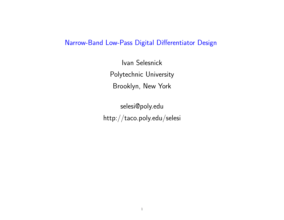### Narrow-Band Low-Pass Digital Differentiator Design

Ivan Selesnick Polytechnic University Brooklyn, New York

selesi@poly.edu http://taco.poly.edu/selesi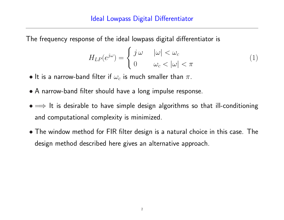The frequency response of the ideal lowpass digital differentiator is

$$
H_{LP}(e^{j\omega}) = \begin{cases} j\omega & |\omega| < \omega_c \\ 0 & \omega_c < |\omega| < \pi \end{cases}
$$
 (1)

- $\bullet$  It is a narrow-band filter if  $\omega_c$  is much smaller than  $\pi$ .
- A narrow-band filter should have a long impulse response.
- $\bullet \Longrightarrow$  It is desirable to have simple design algorithms so that ill-conditioning and computational complexity is minimized.
- The window method for FIR filter design is a natural choice in this case. The design method described here gives an alternative approach.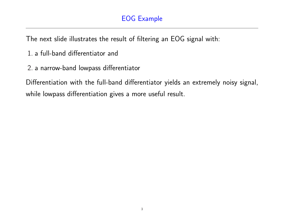## EOG Example

The next slide illustrates the result of filtering an EOG signal with:

- 1. a full-band differentiator and
- 2. a narrow-band lowpass differentiator

Differentiation with the full-band differentiator yields an extremely noisy signal, while lowpass differentiation gives a more useful result.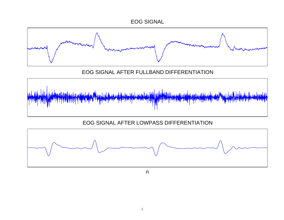



EOG SIGNAL AFTER FULLBAND DIFFERENTIATION



EOG SIGNAL AFTER LOWPASS DIFFERENTIATION



n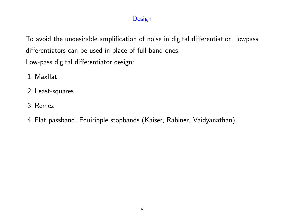To avoid the undesirable amplification of noise in digital differentiation, lowpass differentiators can be used in place of full-band ones.

Low-pass digital differentiator design:

- 1. Maxflat
- 2. Least-squares
- 3. Remez
- 4. Flat passband, Equiripple stopbands (Kaiser, Rabiner, Vaidyanathan)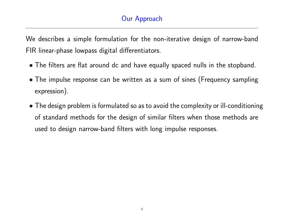We describes a simple formulation for the non-iterative design of narrow-band FIR linear-phase lowpass digital differentiators.

- The filters are flat around dc and have equally spaced nulls in the stopband.
- The impulse response can be written as a sum of sines (Frequency sampling expression).
- The design problem is formulated so as to avoid the complexity or ill-conditioning of standard methods for the design of similar filters when those methods are used to design narrow-band filters with long impulse responses.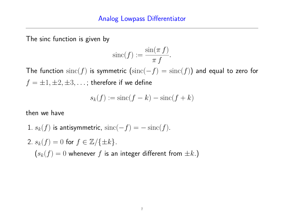The sinc function is given by

$$
\operatorname{sinc}(f) := \frac{\sin(\pi f)}{\pi f}.
$$

The function  $\operatorname{sinc}(f)$  is symmetric  $(\operatorname{sinc}(-f) = \operatorname{sinc}(f))$  and equal to zero for  $f = \pm 1, \pm 2, \pm 3, \ldots$ ; therefore if we define

$$
s_k(f) := \operatorname{sinc}(f - k) - \operatorname{sinc}(f + k)
$$

then we have

1. 
$$
s_k(f)
$$
 is antisymmetric,  $sinc(-f) = -sinc(f)$ .

2. 
$$
s_k(f) = 0
$$
 for  $f \in \mathbb{Z}/\{\pm k\}$ .

\n $(s_k(f) = 0$  whenever  $f$  is an integer different from  $\pm k$ .)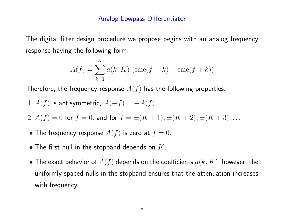The digital filter design procedure we propose begins with an analog frequency response having the following form:

$$
A(f) = \sum_{k=1}^{K} a(k, K) (\text{sinc}(f - k) - \text{sinc}(f + k))
$$

Therefore, the frequency response  $A(f)$  has the following properties:

- 1.  $A(f)$  is antisymmetric,  $A(-f) = -A(f)$ .
- 2.  $A(f) = 0$  for  $f = 0$ , and for  $f = \pm (K + 1), \pm (K + 2), \pm (K + 3), \ldots$ .
- The frequency response  $A(f)$  is zero at  $f = 0$ .
- The first null in the stopband depends on  $K$ .
- The exact behavior of  $A(f)$  depends on the coefficients  $a(k, K)$ , however, the uniformly spaced nulls in the stopband ensures that the attenuation increases with frequency.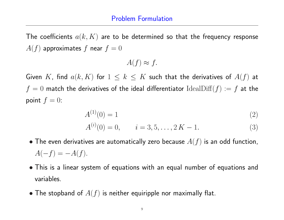The coefficients  $a(k, K)$  are to be determined so that the frequency response  $A(f)$  approximates f near  $f = 0$ 

$$
A(f) \approx f.
$$

Given K, find  $a(k, K)$  for  $1 \leq k \leq K$  such that the derivatives of  $A(f)$  at  $f = 0$  match the derivatives of the ideal differentiator Ideal $\text{Diff}(f) := f$  at the point  $f = 0$ :

$$
A^{(1)}(0) = 1 \tag{2}
$$

$$
A^{(i)}(0) = 0, \qquad i = 3, 5, \dots, 2K - 1.
$$
 (3)

- $\bullet$  The even derivatives are automatically zero because  $A(f)$  is an odd function,  $A(-f) = -A(f).$
- This is a linear system of equations with an equal number of equations and variables.
- The stopband of  $A(f)$  is neither equiripple nor maximally flat.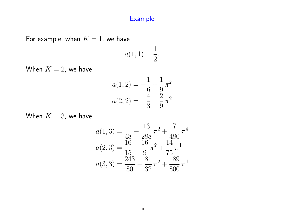### Example

For example, when  $K = 1$ , we have

$$
a(1,1) = \frac{1}{2}.
$$

When  $K = 2$ , we have

$$
a(1,2) = -\frac{1}{6} + \frac{1}{9}\pi^2
$$

$$
a(2,2) = -\frac{4}{3} + \frac{2}{9}\pi^2
$$

When  $K = 3$ , we have

$$
a(1,3) = \frac{1}{48} - \frac{13}{288}\pi^2 + \frac{7}{480}\pi^4
$$

$$
a(2,3) = \frac{16}{15} - \frac{16}{9}\pi^2 + \frac{14}{75}\pi^4
$$

$$
a(3,3) = \frac{243}{80} - \frac{81}{32}\pi^2 + \frac{189}{800}\pi^4
$$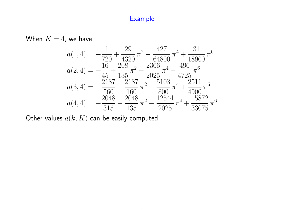#### Example



Other values  $a(k, K)$  can be easily computed.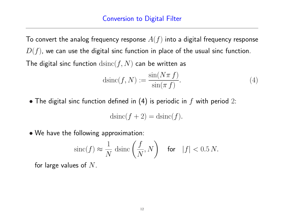To convert the analog frequency response  $A(f)$  into a digital frequency response  $D(f)$ , we can use the digital sinc function in place of the usual sinc function. The digital sinc function  $\operatorname{dsinc}(f,N)$  can be written as

$$
d\text{sinc}(f, N) := \frac{\sin(N\pi f)}{\sin(\pi f)}.
$$
\n(4)

• The digital sinc function defined in (4) is periodic in  $f$  with period 2:

$$
d\text{sinc}(f+2) = d\text{sinc}(f).
$$

• We have the following approximation:

$$
\text{sinc}(f) \approx \frac{1}{N} \, \text{dsinc}\left(\frac{f}{N}, N\right) \quad \text{for} \quad |f| < 0.5 \, N.
$$

for large values of  $N$ .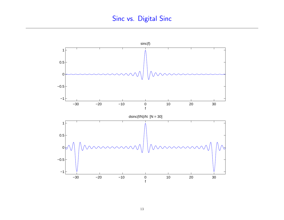# Sinc vs. Digital Sinc

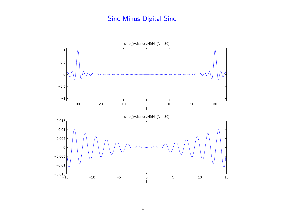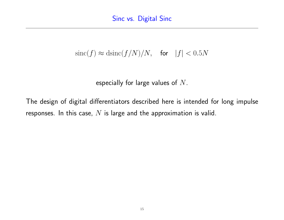# $sinc(f) \approx d sinc(f/N)/N$ , for  $|f| < 0.5N$

especially for large values of  $N$ .

The design of digital differentiators described here is intended for long impulse responses. In this case,  $N$  is large and the approximation is valid.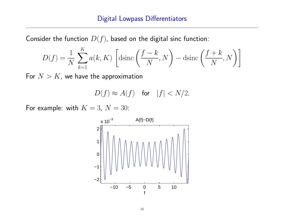Consider the function  $D(f)$ , based on the digital sinc function:

$$
D(f) = \frac{1}{N} \sum_{k=1}^{K} a(k, K) \left[ \text{dsinc}\left(\frac{f - k}{N}, N\right) - \text{dsinc}\left(\frac{f + k}{N}, N\right) \right]
$$

For  $N > K$ , we have the approximation

$$
D(f) \approx A(f) \quad \text{for} \quad |f| < N/2.
$$

For example: with  $K = 3$ ,  $N = 30$ :

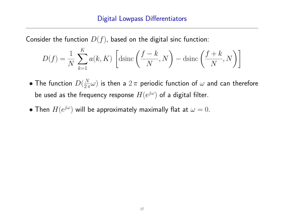Consider the function  $D(f)$ , based on the digital sinc function:

$$
D(f) = \frac{1}{N} \sum_{k=1}^{K} a(k, K) \left[ \text{dsinc}\left(\frac{f-k}{N}, N\right) - \text{dsinc}\left(\frac{f+k}{N}, N\right) \right]
$$

- The function  $D(\frac{N}{2\pi})$  $\frac{N}{2\,\pi}\omega)$  is then a  $2\,\pi$  periodic function of  $\omega$  and can therefore be used as the frequency response  $H(e^{j\omega})$  of a digital filter.
- Then  $H(e^{j\omega})$  will be approximately maximally flat at  $\omega = 0$ .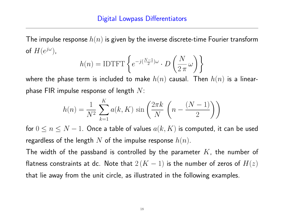The impulse response  $h(n)$  is given by the inverse discrete-time Fourier transform of  $H(e^{j\omega})$ ,  $\overline{a}$  $\sqrt{ }$ 

$$
h(n) = \text{IDTFT}\left\{e^{-j(\frac{N-1}{2})\omega} \cdot D\left(\frac{N}{2\pi}\omega\right)\right\}
$$

where the phase term is included to make  $h(n)$  causal. Then  $h(n)$  is a linearphase FIR impulse response of length  $N$ :

$$
h(n) = \frac{1}{N^2} \sum_{k=1}^{K} a(k, K) \sin\left(\frac{2\pi k}{N} \left(n - \frac{(N-1)}{2}\right)\right)
$$

for  $0 \le n \le N - 1$ . Once a table of values  $a(k, K)$  is computed, it can be used regardless of the length N of the impulse response  $h(n)$ .

The width of the passband is controlled by the parameter  $K$ , the number of flatness constraints at dc. Note that  $2(K-1)$  is the number of zeros of  $H(z)$ that lie away from the unit circle, as illustrated in the following examples.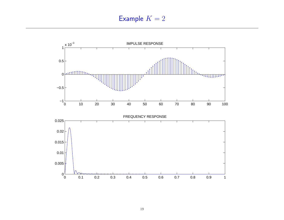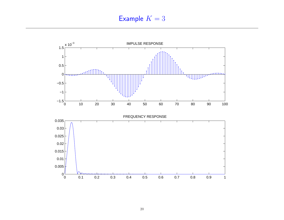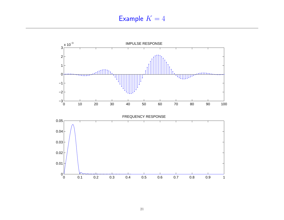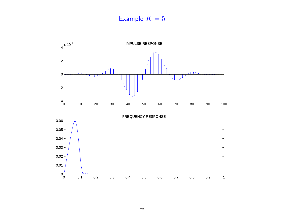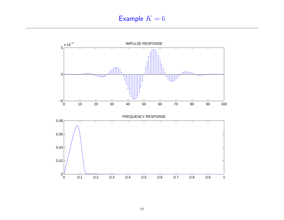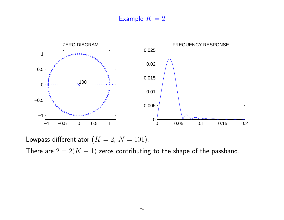

Lowpass differentiator  $(K = 2, N = 101)$ . There are  $2 = 2(K - 1)$  zeros contributing to the shape of the passband.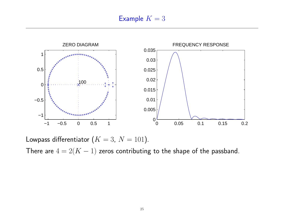

Lowpass differentiator  $(K = 3, N = 101)$ .

There are  $4 = 2(K - 1)$  zeros contributing to the shape of the passband.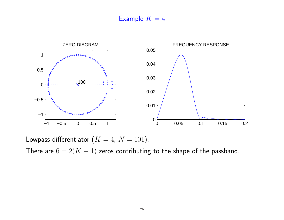

Lowpass differentiator  $(K = 4, N = 101)$ .

There are  $6 = 2(K - 1)$  zeros contributing to the shape of the passband.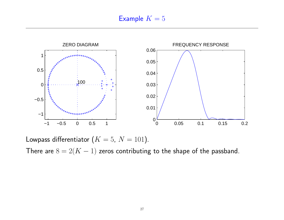

Lowpass differentiator  $(K = 5, N = 101)$ .

There are  $8 = 2(K - 1)$  zeros contributing to the shape of the passband.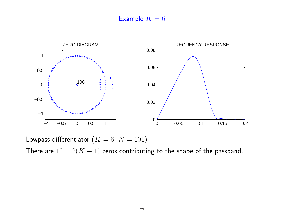

Lowpass differentiator  $(K = 6, N = 101)$ . There are  $10 = 2(K - 1)$  zeros contributing to the shape of the passband.